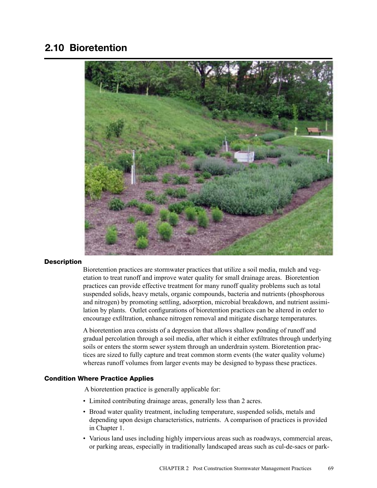# 2.10 Bioretention



#### **Description**

Bioretention practices are stormwater practices that utilize a soil media, mulch and vegetation to treat runoff and improve water quality for small drainage areas. Bioretention practices can provide effective treatment for many runoff quality problems such as total suspended solids, heavy metals, organic compounds, bacteria and nutrients (phosphorous and nitrogen) by promoting settling, adsorption, microbial breakdown, and nutrient assimilation by plants. Outlet configurations of bioretention practices can be altered in order to encourage exfiltration, enhance nitrogen removal and mitigate discharge temperatures.

A bioretention area consists of a depression that allows shallow ponding of runoff and gradual percolation through a soil media, after which it either exfiltrates through underlying soils or enters the storm sewer system through an underdrain system. Bioretention practices are sized to fully capture and treat common storm events (the water quality volume) whereas runoff volumes from larger events may be designed to bypass these practices.

#### Condition Where Practice Applies

A bioretention practice is generally applicable for:

- Limited contributing drainage areas, generally less than 2 acres.
- Broad water quality treatment, including temperature, suspended solids, metals and depending upon design characteristics, nutrients. A comparison of practices is provided in Chapter 1.
- Various land uses including highly impervious areas such as roadways, commercial areas, or parking areas, especially in traditionally landscaped areas such as cul-de-sacs or park-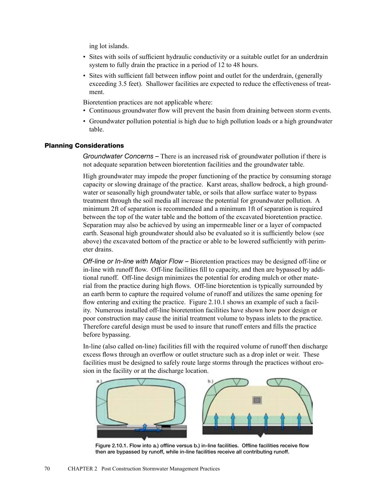ing lot islands.

- Sites with soils of sufficient hydraulic conductivity or a suitable outlet for an underdrain system to fully drain the practice in a period of 12 to 48 hours.
- Sites with sufficient fall between inflow point and outlet for the underdrain, (generally exceeding 3.5 feet). Shallower facilities are expected to reduce the effectiveness of treatment.

Bioretention practices are not applicable where:

- Continuous groundwater flow will prevent the basin from draining between storm events.
- Groundwater pollution potential is high due to high pollution loads or a high groundwater table.

## Planning Considerations

*Groundwater Concerns –* There is an increased risk of groundwater pollution if there is not adequate separation between bioretention facilities and the groundwater table.

High groundwater may impede the proper functioning of the practice by consuming storage capacity or slowing drainage of the practice. Karst areas, shallow bedrock, a high groundwater or seasonally high groundwater table, or soils that allow surface water to bypass treatment through the soil media all increase the potential for groundwater pollution. A minimum 2ft of separation is recommended and a minimum 1ft of separation is required between the top of the water table and the bottom of the excavated bioretention practice. Separation may also be achieved by using an impermeable liner or a layer of compacted earth. Seasonal high groundwater should also be evaluated so it is sufficiently below (see above) the excavated bottom of the practice or able to be lowered sufficiently with perimeter drains.

*Off-line or In-line with Major Flow –* Bioretention practices may be designed off-line or in-line with runoff flow. Off-line facilities fill to capacity, and then are bypassed by additional runoff. Off-line design minimizes the potential for eroding mulch or other material from the practice during high flows. Off-line bioretention is typically surrounded by an earth berm to capture the required volume of runoff and utilizes the same opening for flow entering and exiting the practice. Figure 2.10.1 shows an example of such a facility. Numerous installed off-line bioretention facilities have shown how poor design or poor construction may cause the initial treatment volume to bypass inlets to the practice. Therefore careful design must be used to insure that runoff enters and fills the practice before bypassing.

In-line (also called on-line) facilities fill with the required volume of runoff then discharge excess flows through an overflow or outlet structure such as a drop inlet or weir. These facilities must be designed to safely route large storms through the practices without erosion in the facility or at the discharge location.



Figure 2.10.1. Flow into a.) offline versus b.) in-line facilities. Offline facilities receive flow then are bypassed by runoff, while in-line facilities receive all contributing runoff.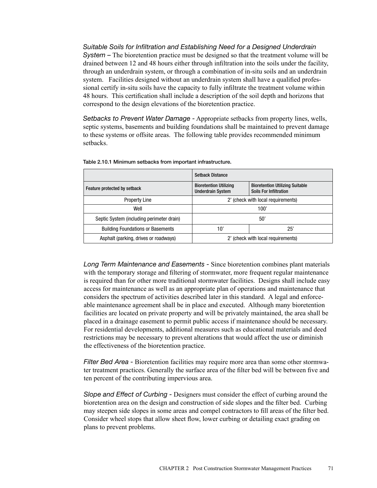*Suitable Soils for Infiltration and Establishing Need for a Designed Underdrain System –* The bioretention practice must be designed so that the treatment volume will be drained between 12 and 48 hours either through infiltration into the soils under the facility, through an underdrain system, or through a combination of in-situ soils and an underdrain system. Facilities designed without an underdrain system shall have a qualified professional certify in-situ soils have the capacity to fully infiltrate the treatment volume within 48 hours. This certification shall include a description of the soil depth and horizons that correspond to the design elevations of the bioretention practice.

*Setbacks to Prevent Water Damage -* Appropriate setbacks from property lines, wells, septic systems, basements and building foundations shall be maintained to prevent damage to these systems or offsite areas. The following table provides recommended minimum setbacks.

|                                           | <b>Setback Distance</b>                                   |                                                                         |  |
|-------------------------------------------|-----------------------------------------------------------|-------------------------------------------------------------------------|--|
| Feature protected by setback              | <b>Bioretention Utilizing</b><br><b>Underdrain System</b> | <b>Bioretention Utilizing Suitable</b><br><b>Soils For Infiltration</b> |  |
| <b>Property Line</b>                      | 2' (check with local requirements)                        |                                                                         |  |
| Well                                      | 100'                                                      |                                                                         |  |
| Septic System (including perimeter drain) | 50'                                                       |                                                                         |  |
| <b>Building Foundations or Basements</b>  | 10'                                                       | 25'                                                                     |  |
| Asphalt (parking, drives or roadways)     | 2' (check with local requirements)                        |                                                                         |  |

*Long Term Maintenance and Easements -* Since bioretention combines plant materials with the temporary storage and filtering of stormwater, more frequent regular maintenance is required than for other more traditional stormwater facilities. Designs shall include easy access for maintenance as well as an appropriate plan of operations and maintenance that considers the spectrum of activities described later in this standard. A legal and enforceable maintenance agreement shall be in place and executed. Although many bioretention facilities are located on private property and will be privately maintained, the area shall be placed in a drainage easement to permit public access if maintenance should be necessary. For residential developments, additional measures such as educational materials and deed restrictions may be necessary to prevent alterations that would affect the use or diminish the effectiveness of the bioretention practice.

*Filter Bed Area -* Bioretention facilities may require more area than some other stormwater treatment practices. Generally the surface area of the filter bed will be between five and ten percent of the contributing impervious area.

*Slope and Effect of Curbing -* Designers must consider the effect of curbing around the bioretention area on the design and construction of side slopes and the filter bed. Curbing may steepen side slopes in some areas and compel contractors to fill areas of the filter bed. Consider wheel stops that allow sheet flow, lower curbing or detailing exact grading on plans to prevent problems.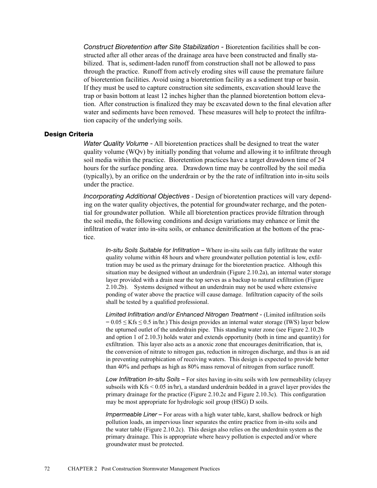*Construct Bioretention after Site Stabilization -* Bioretention facilities shall be constructed after all other areas of the drainage area have been constructed and finally stabilized. That is, sediment-laden runoff from construction shall not be allowed to pass through the practice. Runoff from actively eroding sites will cause the premature failure of bioretention facilities. Avoid using a bioretention facility as a sediment trap or basin. If they must be used to capture construction site sediments, excavation should leave the trap or basin bottom at least 12 inches higher than the planned bioretention bottom elevation. After construction is finalized they may be excavated down to the final elevation after water and sediments have been removed. These measures will help to protect the infiltration capacity of the underlying soils.

#### Design Criteria

*Water Quality Volume -* All bioretention practices shall be designed to treat the water quality volume (WQv) by initially ponding that volume and allowing it to infiltrate through soil media within the practice. Bioretention practices have a target drawdown time of 24 hours for the surface ponding area. Drawdown time may be controlled by the soil media (typically), by an orifice on the underdrain or by the the rate of infiltration into in-situ soils under the practice.

*Incorporating Additional Objectives* - Design of bioretention practices will vary depending on the water quality objectives, the potential for groundwater recharge, and the potential for groundwater pollution. While all bioretention practices provide filtration through the soil media, the following conditions and design variations may enhance or limit the infiltration of water into in-situ soils, or enhance denitrification at the bottom of the practice.

*In-situ Soils Suitable for Infiltration –* Where in-situ soils can fully infiltrate the water quality volume within 48 hours and where groundwater pollution potential is low, exfiltration may be used as the primary drainage for the bioretention practice. Although this situation may be designed without an underdrain (Figure 2.10.2a), an internal water storage layer provided with a drain near the top serves as a backup to natural exfiltration (Figure 2.10.2b). Systems designed without an underdrain may not be used where extensive ponding of water above the practice will cause damage. Infiltration capacity of the soils shall be tested by a qualified professional.

*Limited Infiltration and/or Enhanced Nitrogen Treatment -* (Limited infiltration soils  $= 0.05 \le Kfs \le 0.5$  in/hr.) This design provides an internal water storage (IWS) layer below the upturned outlet of the underdrain pipe. This standing water zone (see Figure 2.10.2b and option 1 of 2.10.3) holds water and extends opportunity (both in time and quantity) for exfiltration. This layer also acts as a anoxic zone that encourages denitrification, that is, the conversion of nitrate to nitrogen gas, reduction in nitrogen discharge, and thus is an aid in preventing eutrophication of receiving waters. This design is expected to provide better than 40% and perhaps as high as 80% mass removal of nitrogen from surface runoff.

*Low Infiltration In-situ Soils –* For sites having in-situ soils with low permeability (clayey subsoils with  $Kfs < 0.05$  in/hr), a standard underdrain bedded in a gravel layer provides the primary drainage for the practice (Figure 2.10.2c and Figure 2.10.3c). This configuration may be most appropriate for hydrologic soil group (HSG) D soils.

*Impermeable Liner –* For areas with a high water table, karst, shallow bedrock or high pollution loads, an impervious liner separates the entire practice from in-situ soils and the water table (Figure 2.10.2c). This design also relies on the underdrain system as the primary drainage. This is appropriate where heavy pollution is expected and/or where groundwater must be protected.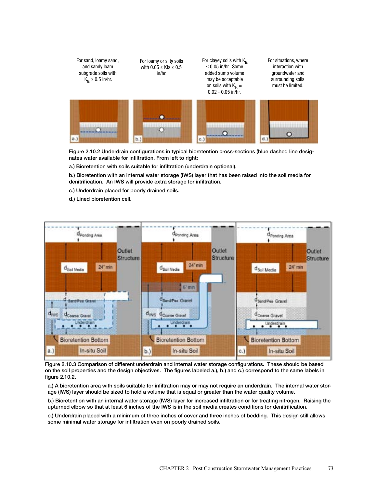

Figure 2.10.2 Underdrain configurations in typical bioretention cross-sections (blue dashed line designates water available for infiltration. From left to right:

a.) Bioretention with soils suitable for infiltration (underdrain optional).

b.) Bioretention with an internal water storage (IWS) layer that has been raised into the soil media for denitrification. An IWS will provide extra storage for infiltration.

c.) Underdrain placed for poorly drained soils.

d.) Lined bioretention cell.



Figure 2.10.3 Comparison of different underdrain and internal water storage configurations. These should be based on the soil properties and the design objectives. The figures labeled a.), b.) and c.) correspond to the same labels in figure 2.10.2.

a.) A bioretention area with soils suitable for infiltration may or may not require an underdrain. The internal water storage (IWS) layer should be sized to hold a volume that is equal or greater than the water quality volume.

b.) Bioretention with an internal water storage (IWS) layer for increased infiltration or for treating nitrogen. Raising the upturned elbow so that at least 6 inches of the IWS is in the soil media creates conditions for denitrification.

c.) Underdrain placed with a minimum of three inches of cover and three inches of bedding. This design still allows some minimal water storage for infiltration even on poorly drained soils.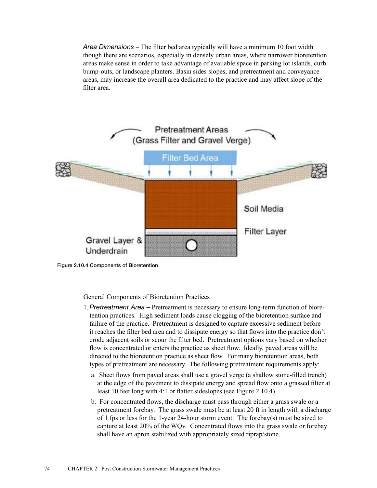*Area Dimensions –* The filter bed area typically will have a minimum 10 foot width though there are scenarios, especially in densely urban areas, where narrower bioretention areas make sense in order to take advantage of available space in parking lot islands, curb bump-outs, or landscape planters. Basin sides slopes, and pretreatment and conveyance areas, may increase the overall area dedicated to the practice and may affect slope of the filter area.



Figure 2.10.4 Components of Bioretention

General Components of Bioretention Practices

- 1.*Pretreatment Area –* Pretreatment is necessary to ensure long-term function of bioretention practices. High sediment loads cause clogging of the bioretention surface and failure of the practice. Pretreatment is designed to capture excessive sediment before it reaches the filter bed area and to dissipate energy so that flows into the practice don't erode adjacent soils or scour the filter bed. Pretreatment options vary based on whether flow is concentrated or enters the practice as sheet flow. Ideally, paved areas will be directed to the bioretention practice as sheet flow. For many bioretention areas, both types of pretreatment are necessary. The following pretreatment requirements apply:
	- a. Sheet flows from paved areas shall use a gravel verge (a shallow stone-filled trench) at the edge of the pavement to dissipate energy and spread flow onto a grassed filter at least 10 feet long with 4:1 or flatter sideslopes (see Figure 2.10.4).
	- b. For concentrated flows, the discharge must pass through either a grass swale or a pretreatment forebay. The grass swale must be at least 20 ft in length with a discharge of 1 fps or less for the 1-year 24-hour storm event. The forebay(s) must be sized to capture at least 20% of the WQv. Concentrated flows into the grass swale or forebay shall have an apron stabilized with appropriately sized riprap/stone.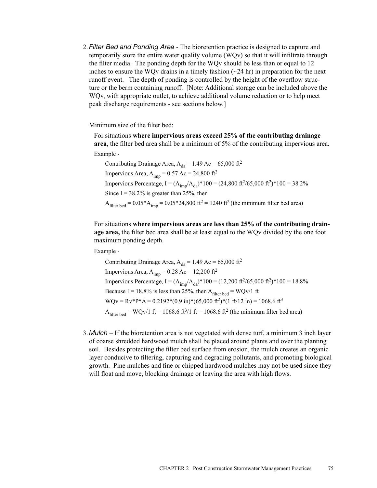2. *Filter Bed and Ponding Area* - The bioretention practice is designed to capture and temporarily store the entire water quality volume (WQv) so that it will infiltrate through the filter media. The ponding depth for the WQv should be less than or equal to 12 inches to ensure the WQv drains in a timely fashion  $(\sim 24 \text{ hr})$  in preparation for the next runoff event. The depth of ponding is controlled by the height of the overflow structure or the berm containing runoff. [Note: Additional storage can be included above the WQv, with appropriate outlet, to achieve additional volume reduction or to help meet peak discharge requirements - see sections below.]

Minimum size of the filter bed:

For situations **where impervious areas exceed 25% of the contributing drainage area**, the filter bed area shall be a minimum of 5% of the contributing impervious area. Example -

Contributing Drainage Area,  $A_{da} = 1.49$  Ac = 65,000 ft<sup>2</sup> Impervious Area,  $A_{imp} = 0.57$  Ac = 24,800 ft<sup>2</sup> Impervious Percentage, I =  $(A_{\text{imm}}/A_{\text{da}})^*100 = (24,800 \text{ ft}^2/65,000 \text{ ft}^2)^*100 = 38.2\%$ Since  $I = 38.2\%$  is greater than 25%, then  $A_{\text{filter bed}} = 0.05*A_{\text{imp}} = 0.05*24,800 \text{ ft}^2 = 1240 \text{ ft}^2 \text{ (the minimum filter bed area)}$ 

For situations **where impervious areas are less than 25% of the contributing drainage area,** the filter bed area shall be at least equal to the WQv divided by the one foot maximum ponding depth.

Example -

Contributing Drainage Area,  $A_{da} = 1.49$  Ac = 65,000 ft<sup>2</sup> Impervious Area,  $A_{\text{imp}} = 0.28$  Ac = 12,200 ft<sup>2</sup> Impervious Percentage, I =  $(A_{imp}/A_{da})$ \*100 = (12,200 ft<sup>2</sup>/65,000 ft<sup>2</sup>)\*100 = 18.8% Because I = 18.8% is less than 25%, then  $A_{filter \text{ bed}} = \text{WQv/1 ft}$  $WQv = Rv^*P^*A = 0.2192^*(0.9 \text{ in})^*(65,000 \text{ ft}^2)^*(1 \text{ ft}/12 \text{ in}) = 1068.6 \text{ ft}^3$  $A_{\text{filter bed}} = \text{WQv/1 ft} = 1068.6 \text{ ft}^3/\text{1 ft} = 1068.6 \text{ ft}^2 \text{ (the minimum filter bed area)}$ 

3. *Mulch –* If the bioretention area is not vegetated with dense turf, a minimum 3 inch layer of coarse shredded hardwood mulch shall be placed around plants and over the planting soil. Besides protecting the filter bed surface from erosion, the mulch creates an organic layer conducive to filtering, capturing and degrading pollutants, and promoting biological growth. Pine mulches and fine or chipped hardwood mulches may not be used since they will float and move, blocking drainage or leaving the area with high flows.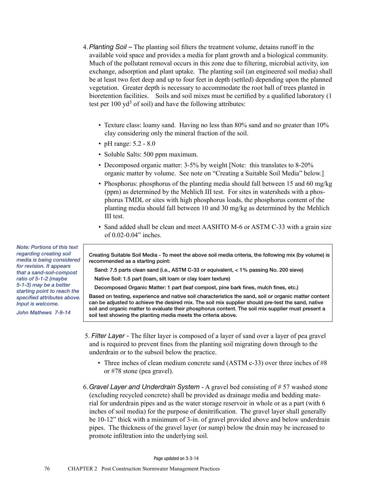- 4.*Planting Soil –* The planting soil filters the treatment volume, detains runoff in the available void space and provides a media for plant growth and a biological community. Much of the pollutant removal occurs in this zone due to filtering, microbial activity, ion exchange, adsorption and plant uptake. The planting soil (an engineered soil media) shall be at least two feet deep and up to four feet in depth (settled) depending upon the planned vegetation. Greater depth is necessary to accommodate the root ball of trees planted in bioretention facilities. Soils and soil mixes must be certified by a qualified laboratory (1 test per  $100 \text{ yd}^3$  of soil) and have the following attributes:
	- Texture class: loamy sand. Having no less than 80% sand and no greater than 10% clay considering only the mineral fraction of the soil.
	- pH range: 5.2 8.0
	- Soluble Salts: 500 ppm maximum.
	- Decomposed organic matter: 3-5% by weight [Note: this translates to 8-20% organic matter by volume. See note on "Creating a Suitable Soil Media" below.]
	- Phosphorus: phosphorus of the planting media should fall between 15 and 60 mg/kg (ppm) as determined by the Mehlich III test. For sites in watersheds with a phosphorus TMDL or sites with high phosphorus loads, the phosphorus content of the planting media should fall between 10 and 30 mg/kg as determined by the Mehlich III test.
	- Sand added shall be clean and meet AASHTO M-6 or ASTM C-33 with a grain size of 0.02-0.04" inches.

Creating Suitable Soil Media - To meet the above soil media criteria, the following mix (by volume) is recommended as a starting point:

Sand: 7.5 parts clean sand (i.e., ASTM C-33 or equivalent, < 1% passing No. 200 sieve)

Native Soil: 1.5 part (loam, silt loam or clay loam texture)

Decomposed Organic Matter: 1 part (leaf compost, pine bark fines, mulch fines, etc.)

Based on testing, experience and native soil characteristics the sand, soil or organic matter content can be adjusted to achieve the desired mix. The soil mix supplier should pre-test the sand, native soil and organic matter to evaluate their phosphorus content. The soil mix supplier must present a soil test showing the planting media meets the criteria above.

- 5. *Filter Layer -* The filter layer is composed of a layer of sand over a layer of pea gravel and is required to prevent fines from the planting soil migrating down through to the underdrain or to the subsoil below the practice.
	- Three inches of clean medium concrete sand (ASTM c-33) over three inches of #8 or #78 stone (pea gravel).
- 6. *Gravel Layer and Underdrain System* A gravel bed consisting of # 57 washed stone (excluding recycled concrete) shall be provided as drainage media and bedding material for underdrain pipes and as the water storage reservoir in whole or as a part (with 6 inches of soil media) for the purpose of denitrification. The gravel layer shall generally be 10-12" thick with a minimum of 3-in. of gravel provided above and below underdrain pipes. The thickness of the gravel layer (or sump) below the drain may be increased to promote infiltration into the underlying soil.

Page updated on 3-3-14

*Note: Portions of this text regarding creating soil media is being considered for revision. It appears that a sand-soil-compost ratio of 5-1-2 (maybe 5-1-3) may be a better starting point to reach the specified attributes above. Input is welcome.*

*John Mathews 7-9-14*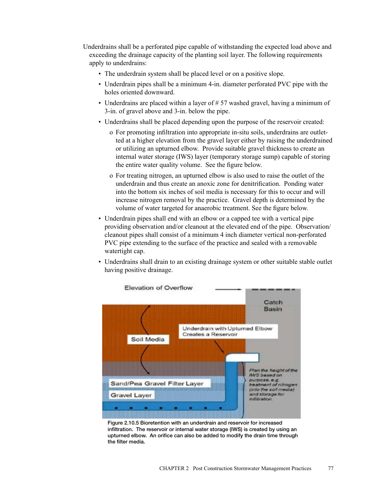Underdrains shall be a perforated pipe capable of withstanding the expected load above and exceeding the drainage capacity of the planting soil layer. The following requirements apply to underdrains:

- The underdrain system shall be placed level or on a positive slope.
- Underdrain pipes shall be a minimum 4-in. diameter perforated PVC pipe with the holes oriented downward.
- Underdrains are placed within a layer of  $\# 57$  washed gravel, having a minimum of 3-in. of gravel above and 3-in. below the pipe.
- Underdrains shall be placed depending upon the purpose of the reservoir created:
	- o For promoting infiltration into appropriate in-situ soils, underdrains are outletted at a higher elevation from the gravel layer either by raising the underdrained or utilizing an upturned elbow. Provide suitable gravel thickness to create an internal water storage (IWS) layer (temporary storage sump) capable of storing the entire water quality volume. See the figure below.
	- o For treating nitrogen, an upturned elbow is also used to raise the outlet of the underdrain and thus create an anoxic zone for denitrification. Ponding water into the bottom six inches of soil media is necessary for this to occur and will increase nitrogen removal by the practice. Gravel depth is determined by the volume of water targeted for anaerobic treatment. See the figure below.
- Underdrain pipes shall end with an elbow or a capped tee with a vertical pipe providing observation and/or cleanout at the elevated end of the pipe. Observation/ cleanout pipes shall consist of a minimum 4 inch diameter vertical non-perforated PVC pipe extending to the surface of the practice and sealed with a removable watertight cap.
- Underdrains shall drain to an existing drainage system or other suitable stable outlet having positive drainage.



Figure 2.10.5 Bioretention with an underdrain and reservoir for increased infiltration. The reservoir or internal water storage (IWS) is created by using an upturned elbow. An orifice can also be added to modify the drain time through the filter media.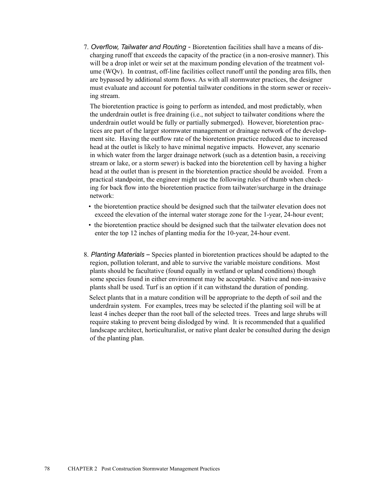7. *Overflow, Tailwater and Routing -* Bioretention facilities shall have a means of discharging runoff that exceeds the capacity of the practice (in a non-erosive manner). This will be a drop inlet or weir set at the maximum ponding elevation of the treatment volume (WQv). In contrast, off-line facilities collect runoff until the ponding area fills, then are bypassed by additional storm flows. As with all stormwater practices, the designer must evaluate and account for potential tailwater conditions in the storm sewer or receiving stream.

The bioretention practice is going to perform as intended, and most predictably, when the underdrain outlet is free draining (i.e., not subject to tailwater conditions where the underdrain outlet would be fully or partially submerged). However, bioretention practices are part of the larger stormwater management or drainage network of the development site. Having the outflow rate of the bioretention practice reduced due to increased head at the outlet is likely to have minimal negative impacts. However, any scenario in which water from the larger drainage network (such as a detention basin, a receiving stream or lake, or a storm sewer) is backed into the bioretention cell by having a higher head at the outlet than is present in the bioretention practice should be avoided. From a practical standpoint, the engineer might use the following rules of thumb when checking for back flow into the bioretention practice from tailwater/surcharge in the drainage network:

- the bioretention practice should be designed such that the tailwater elevation does not exceed the elevation of the internal water storage zone for the 1-year, 24-hour event;
- the bioretention practice should be designed such that the tailwater elevation does not enter the top 12 inches of planting media for the 10-year, 24-hour event.
- 8. *Planting Materials –* Species planted in bioretention practices should be adapted to the region, pollution tolerant, and able to survive the variable moisture conditions. Most plants should be facultative (found equally in wetland or upland conditions) though some species found in either environment may be acceptable. Native and non-invasive plants shall be used. Turf is an option if it can withstand the duration of ponding.

Select plants that in a mature condition will be appropriate to the depth of soil and the underdrain system. For examples, trees may be selected if the planting soil will be at least 4 inches deeper than the root ball of the selected trees. Trees and large shrubs will require staking to prevent being dislodged by wind. It is recommended that a qualified landscape architect, horticulturalist, or native plant dealer be consulted during the design of the planting plan.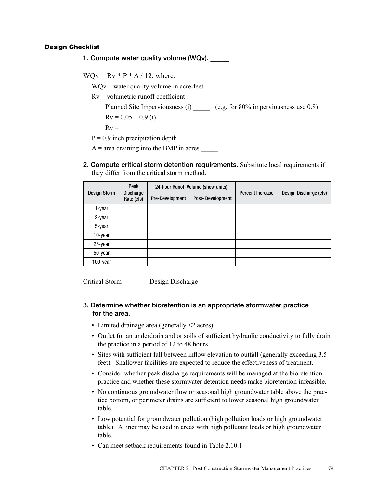# Design Checklist

1. Compute water quality volume (WQv).

 $WQv = Rv * P * A / 12$ , where:

 $WQv =$  water quality volume in acre-feet

 $Rv =$  volumetric runoff coefficient

Planned Site Imperviousness (i)  $\qquad \qquad$  (e.g. for 80% imperviousness use 0.8)

 $Rv = 0.05 + 0.9$  (i)

 $Rv =$ 

 $P = 0.9$  inch precipitation depth

 $A$  = area draining into the BMP in acres

2. Compute critical storm detention requirements. Substitute local requirements if they differ from the critical storm method.

| <b>Design Storm</b> | Peak<br><b>Discharge</b> | 24-hour Runoff Volume (show units) |                  | <b>Percent Increase</b> | Design Discharge (cfs) |
|---------------------|--------------------------|------------------------------------|------------------|-------------------------|------------------------|
|                     | Rate (cfs)               | <b>Pre-Development</b>             | Post-Development |                         |                        |
| 1-year              |                          |                                    |                  |                         |                        |
| $2$ -year           |                          |                                    |                  |                         |                        |
| 5-year              |                          |                                    |                  |                         |                        |
| 10-year             |                          |                                    |                  |                         |                        |
| 25-year             |                          |                                    |                  |                         |                        |
| 50-year             |                          |                                    |                  |                         |                        |
| 100-year            |                          |                                    |                  |                         |                        |

Critical Storm \_\_\_\_\_\_\_ Design Discharge \_\_\_\_\_\_\_\_

# 3. Determine whether bioretention is an appropriate stormwater practice for the area.

- Limited drainage area (generally <2 acres)
- Outlet for an underdrain and or soils of sufficient hydraulic conductivity to fully drain the practice in a period of 12 to 48 hours.
- Sites with sufficient fall between inflow elevation to outfall (generally exceeding 3.5) feet). Shallower facilities are expected to reduce the effectiveness of treatment.
- Consider whether peak discharge requirements will be managed at the bioretention practice and whether these stormwater detention needs make bioretention infeasible.
- No continuous groundwater flow or seasonal high groundwater table above the practice bottom, or perimeter drains are sufficient to lower seasonal high groundwater table.
- Low potential for groundwater pollution (high pollution loads or high groundwater table). A liner may be used in areas with high pollutant loads or high groundwater table.
- Can meet setback requirements found in Table 2.10.1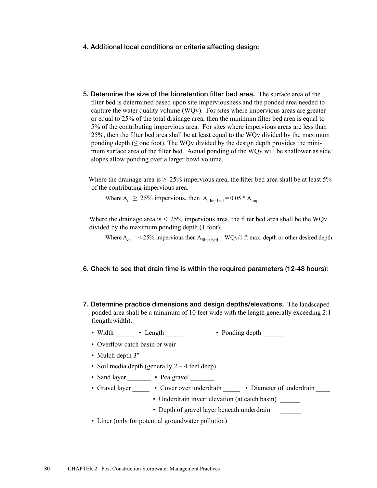#### 4. Additional local conditions or criteria affecting design:

5. Determine the size of the bioretention filter bed area. The surface area of the filter bed is determined based upon site imperviousness and the ponded area needed to capture the water quality volume (WQv). For sites where impervious areas are greater or equal to 25% of the total drainage area, then the minimum filter bed area is equal to 5% of the contributing impervious area. For sites where impervious areas are less than 25%, then the filter bed area shall be at least equal to the WQv divided by the maximum ponding depth ( $\leq$  one foot). The WQv divided by the design depth provides the minimum surface area of the filter bed. Actual ponding of the WQv will be shallower as side slopes allow ponding over a larger bowl volume.

Where the drainage area is  $\geq 25\%$  impervious area, the filter bed area shall be at least 5% of the contributing impervious area.

Where  $A_{da} \ge 25\%$  impervious, then  $A_{filter \text{ bed}} = 0.05 * A_{imp}$ 

Where the drainage area is < 25% impervious area, the filter bed area shall be the WQv divided by the maximum ponding depth (1 foot).

Where  $A_{da} = 25\%$  impervious then  $A_{filter\text{ bed}} = WQv/1$  ft max. depth or other desired depth

## 6. Check to see that drain time is within the required parameters (12-48 hours):

- 7. Determine practice dimensions and design depths/elevations. The landscaped ponded area shall be a minimum of 10 feet wide with the length generally exceeding 2:1 (length:width).
	- Width Length Ponding depth
	- Overflow catch basin or weir
	- Mulch depth 3"
	- Soil media depth (generally  $2 4$  feet deep)
	- Sand layer Pea gravel
	- Gravel layer Cover over underdrain Diameter of underdrain
		- Underdrain invert elevation (at catch basin)
		- Depth of gravel layer beneath underdrain
	- Liner (only for potential groundwater pollution)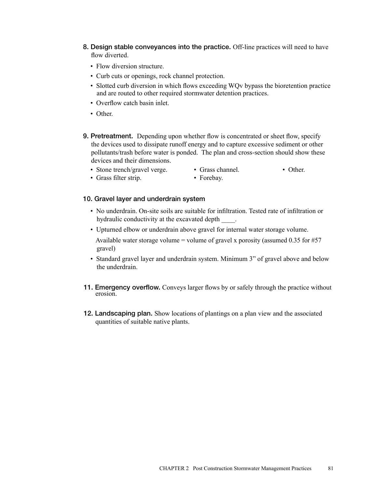- 8. Design stable conveyances into the practice. Off-line practices will need to have flow diverted.
	- Flow diversion structure.
	- Curb cuts or openings, rock channel protection.
	- Slotted curb diversion in which flows exceeding WQv bypass the bioretention practice and are routed to other required stormwater detention practices.
	- Overflow catch basin inlet.
	- Other
- 9. Pretreatment. Depending upon whether flow is concentrated or sheet flow, specify the devices used to dissipate runoff energy and to capture excessive sediment or other pollutants/trash before water is ponded. The plan and cross-section should show these devices and their dimensions.
	- Stone trench/gravel verge. Grass channel. Other.
		-

• Grass filter strip. • Forebay.

#### 10. Gravel layer and underdrain system

- No underdrain. On-site soils are suitable for infiltration. Tested rate of infiltration or hydraulic conductivity at the excavated depth  $\qquad$ .
- Upturned elbow or underdrain above gravel for internal water storage volume.

Available water storage volume = volume of gravel x porosity (assumed  $0.35$  for #57 gravel)

- Standard gravel layer and underdrain system. Minimum 3" of gravel above and below the underdrain.
- 11. Emergency overflow. Conveys larger flows by or safely through the practice without erosion.
- 12. Landscaping plan. Show locations of plantings on a plan view and the associated quantities of suitable native plants.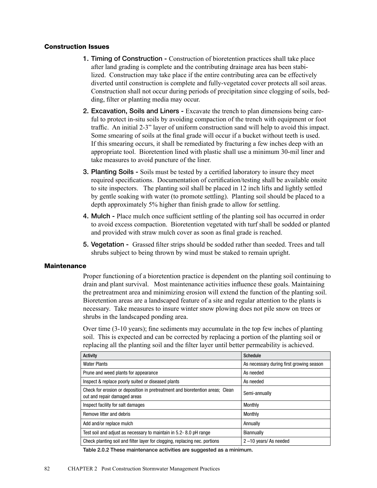## Construction Issues

- 1. Timing of Construction Construction of bioretention practices shall take place after land grading is complete and the contributing drainage area has been stabilized. Construction may take place if the entire contributing area can be effectively diverted until construction is complete and fully-vegetated cover protects all soil areas. Construction shall not occur during periods of precipitation since clogging of soils, bedding, filter or planting media may occur.
- 2. Excavation, Soils and Liners Excavate the trench to plan dimensions being careful to protect in-situ soils by avoiding compaction of the trench with equipment or foot traffic. An initial 2-3" layer of uniform construction sand will help to avoid this impact. Some smearing of soils at the final grade will occur if a bucket without teeth is used. If this smearing occurs, it shall be remediated by fracturing a few inches deep with an appropriate tool. Bioretention lined with plastic shall use a minimum 30-mil liner and take measures to avoid puncture of the liner.
- 3. Planting Soils Soils must be tested by a certified laboratory to insure they meet required specifications. Documentation of certification/testing shall be available onsite to site inspectors. The planting soil shall be placed in 12 inch lifts and lightly settled by gentle soaking with water (to promote settling). Planting soil should be placed to a depth approximately 5% higher than finish grade to allow for settling.
- 4. Mulch Place mulch once sufficient settling of the planting soil has occurred in order to avoid excess compaction. Bioretention vegetated with turf shall be sodded or planted and provided with straw mulch cover as soon as final grade is reached.
- 5. Vegetation Grassed filter strips should be sodded rather than seeded. Trees and tall shrubs subject to being thrown by wind must be staked to remain upright.

# **Maintenance**

Proper functioning of a bioretention practice is dependent on the planting soil continuing to drain and plant survival. Most maintenance activities influence these goals. Maintaining the pretreatment area and minimizing erosion will extend the function of the planting soil. Bioretention areas are a landscaped feature of a site and regular attention to the plants is necessary. Take measures to insure winter snow plowing does not pile snow on trees or shrubs in the landscaped ponding area.

Over time (3-10 years); fine sediments may accumulate in the top few inches of planting soil. This is expected and can be corrected by replacing a portion of the planting soil or replacing all the planting soil and the filter layer until better permeability is achieved.

| <b>Activity</b>                                                                                               | <b>Schedule</b>                          |  |
|---------------------------------------------------------------------------------------------------------------|------------------------------------------|--|
| <b>Water Plants</b>                                                                                           | As necessary during first growing season |  |
| Prune and weed plants for appearance                                                                          | As needed                                |  |
| Inspect & replace poorly suited or diseased plants                                                            | As needed                                |  |
| Check for erosion or deposition in pretreatment and bioretention areas; Clean<br>out and repair damaged areas | Semi-annually                            |  |
| Inspect facility for salt damages                                                                             | Monthly                                  |  |
| Remove litter and debris                                                                                      | Monthly                                  |  |
| Add and/or replace mulch                                                                                      | Annually                                 |  |
| Test soil and adjust as necessary to maintain in 5.2-8.0 pH range                                             | Biannually                               |  |
| Check planting soil and filter layer for clogging, replacing nec. portions                                    | $2 - 10$ years/ As needed                |  |

Table 2.0.2 These maintenance activities are suggested as a minimum.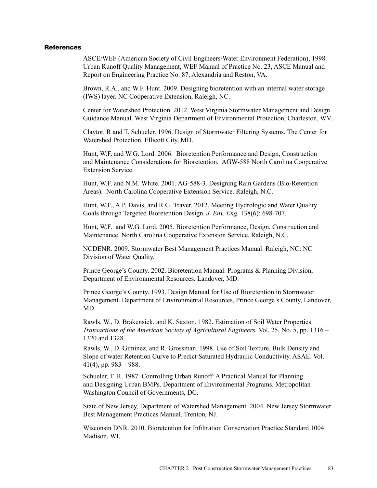#### **References**

ASCE/WEF (American Society of Civil Engineers/Water Environment Federation), 1998. Urban Runoff Quality Management, WEF Manual of Practice No. 23, ASCE Manual and Report on Engineering Practice No. 87, Alexandria and Reston, VA.

Brown, R.A., and W.F. Hunt. 2009. Designing bioretention with an internal water storage (IWS) layer. NC Cooperative Extension, Raleigh, NC.

Center for Watershed Protection. 2012. West Virginia Stormwater Management and Design Guidance Manual. West Virginia Department of Environmental Protection, Charleston, WV.

Claytor, R and T. Schueler. 1996. Design of Stormwater Filtering Systems. The Center for Watershed Protection. Ellicott City, MD.

Hunt, W.F. and W.G. Lord. 2006. Bioretention Performance and Design, Construction and Maintenance Considerations for Bioretention. AGW-588 North Carolina Cooperative Extension Service.

Hunt, W.F. and N.M. White. 2001. AG-588-3. Designing Rain Gardens (Bio-Retention Areas). North Carolina Cooperative Extension Service. Raleigh, N.C.

Hunt, W.F., A.P. Davis, and R.G. Traver. 2012. Meeting Hydrologic and Water Quality Goals through Targeted Bioretention Design. *J. Env. Eng.* 138(6): 698-707.

Hunt, W.F. and W.G. Lord. 2005. Bioretention Performance, Design, Construction and Maintenance. North Carolina Cooperative Extension Service. Raleigh, N.C.

NCDENR. 2009. Stormwater Best Management Practices Manual. Raleigh, NC: NC Division of Water Quality.

Prince George's County. 2002. Bioretention Manual. Programs & Planning Division, Department of Environmental Resources. Landover, MD.

Prince George's County. 1993. Design Manual for Use of Bioretention in Stormwater Management. Department of Environmental Resources, Prince George's County, Landover, MD.

Rawls, W., D. Brakensiek, and K. Saxton. 1982. Estimation of Soil Water Properties. *Transactions of the American Society of Agricultural Engineers.* Vol. 25, No. 5, pp. 1316 – 1320 and 1328.

Rawls, W., D. Giminez, and R. Grossman. 1998. Use of Soil Texture, Bulk Density and Slope of water Retention Curve to Predict Saturated Hydraulic Conductivity. ASAE. Vol.  $41(4)$ , pp.  $983 - 988$ .

Schueler, T. R. 1987. Controlling Urban Runoff: A Practical Manual for Planning and Designing Urban BMPs. Department of Environmental Programs. Metropolitan Washington Council of Governments, DC.

State of New Jersey, Department of Watershed Management. 2004. New Jersey Stormwater Best Management Practices Manual. Trenton, NJ.

Wisconsin DNR. 2010. Bioretention for Infiltration Conservation Practice Standard 1004. Madison, WI.